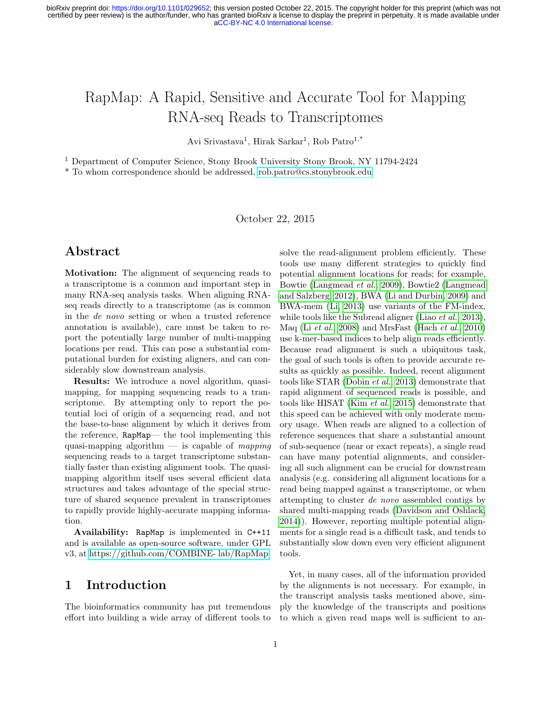# RapMap: A Rapid, Sensitive and Accurate Tool for Mapping RNA-seq Reads to Transcriptomes

Avi Srivastava<sup>1</sup>, Hirak Sarkar<sup>1</sup>, Rob Patro<sup>1,\*</sup>

<sup>1</sup> Department of Computer Science, Stony Brook University Stony Brook, NY 11794-2424

\* To whom correspondence should be addressed,<rob.patro@cs.stonybrook.edu>

October 22, 2015

### Abstract

Motivation: The alignment of sequencing reads to a transcriptome is a common and important step in many RNA-seq analysis tasks. When aligning RNAseq reads directly to a transcriptome (as is common in the de novo setting or when a trusted reference annotation is available), care must be taken to report the potentially large number of multi-mapping locations per read. This can pose a substantial computational burden for existing aligners, and can considerably slow downstream analysis.

Results: We introduce a novel algorithm, quasimapping, for mapping sequencing reads to a transcriptome. By attempting only to report the potential loci of origin of a sequencing read, and not the base-to-base alignment by which it derives from the reference, RapMap— the tool implementing this quasi-mapping algorithm — is capable of *mapping* sequencing reads to a target transcriptome substantially faster than existing alignment tools. The quasimapping algorithm itself uses several efficient data structures and takes advantage of the special structure of shared sequence prevalent in transcriptomes to rapidly provide highly-accurate mapping information.

Availability: RapMap is implemented in C++11 and is available as open-source software, under GPL v3, at [https://github.com/COMBINE- lab/RapMap.](https://github.com/COMBINE-lab/RapMap)

### 1 Introduction

The bioinformatics community has put tremendous effort into building a wide array of different tools to solve the read-alignment problem efficiently. These tools use many different strategies to quickly find potential alignment locations for reads; for example, Bowtie [\(Langmead](#page-9-0) et al., [2009\)](#page-9-0), Bowtie2 [\(Langmead](#page-9-1) [and Salzberg, 2012\)](#page-9-1), BWA [\(Li and Durbin, 2009\)](#page-10-0) and BWA-mem [\(Li, 2013\)](#page-10-1) use variants of the FM-index, while tools like the Subread aligner (Liao *[et al.](#page-10-2)*, [2013\)](#page-10-2), Maq (Li [et al.](#page-10-3), [2008\)](#page-10-3) and MrsFast [\(Hach](#page-9-2) et al., [2010\)](#page-9-2) use k-mer-based indices to help align reads efficiently. Because read alignment is such a ubiquitous task, the goal of such tools is often to provide accurate results as quickly as possible. Indeed, recent alignment tools like STAR [\(Dobin](#page-9-3) et al., [2013\)](#page-9-3) demonstrate that rapid alignment of sequenced reads is possible, and tools like HISAT (Kim [et al.](#page-9-4), [2015\)](#page-9-4) demonstrate that this speed can be achieved with only moderate memory usage. When reads are aligned to a collection of reference sequences that share a substantial amount of sub-sequence (near or exact repeats), a single read can have many potential alignments, and considering all such alignment can be crucial for downstream analysis (e.g. considering all alignment locations for a read being mapped against a transcriptome, or when attempting to cluster de novo assembled contigs by shared multi-mapping reads [\(Davidson and Oshlack,](#page-9-5) [2014\)](#page-9-5)). However, reporting multiple potential alignments for a single read is a difficult task, and tends to substantially slow down even very efficient alignment tools.

Yet, in many cases, all of the information provided by the alignments is not necessary. For example, in the transcript analysis tasks mentioned above, simply the knowledge of the transcripts and positions to which a given read maps well is sufficient to an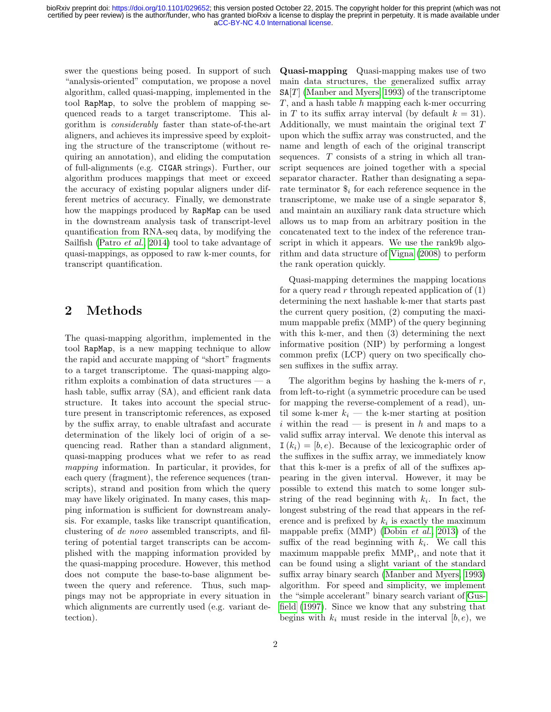swer the questions being posed. In support of such "analysis-oriented" computation, we propose a novel algorithm, called quasi-mapping, implemented in the tool RapMap, to solve the problem of mapping sequenced reads to a target transcriptome. This algorithm is considerably faster than state-of-the-art aligners, and achieves its impressive speed by exploiting the structure of the transcriptome (without requiring an annotation), and eliding the computation of full-alignments (e.g. CIGAR strings). Further, our algorithm produces mappings that meet or exceed the accuracy of existing popular aligners under different metrics of accuracy. Finally, we demonstrate how the mappings produced by RapMap can be used in the downstream analysis task of transcript-level quantification from RNA-seq data, by modifying the Sailfish [\(Patro](#page-10-4) et al., [2014\)](#page-10-4) tool to take advantage of quasi-mappings, as opposed to raw k-mer counts, for transcript quantification.

### <span id="page-1-0"></span>2 Methods

The quasi-mapping algorithm, implemented in the tool RapMap, is a new mapping technique to allow the rapid and accurate mapping of "short" fragments to a target transcriptome. The quasi-mapping algorithm exploits a combination of data structures — a hash table, suffix array  $(SA)$ , and efficient rank data structure. It takes into account the special structure present in transcriptomic references, as exposed by the suffix array, to enable ultrafast and accurate determination of the likely loci of origin of a sequencing read. Rather than a standard alignment, quasi-mapping produces what we refer to as read mapping information. In particular, it provides, for each query (fragment), the reference sequences (transcripts), strand and position from which the query may have likely originated. In many cases, this mapping information is sufficient for downstream analysis. For example, tasks like transcript quantification, clustering of de novo assembled transcripts, and filtering of potential target transcripts can be accomplished with the mapping information provided by the quasi-mapping procedure. However, this method does not compute the base-to-base alignment between the query and reference. Thus, such mappings may not be appropriate in every situation in which alignments are currently used (e.g. variant detection).

Quasi-mapping Quasi-mapping makes use of two main data structures, the generalized suffix array  $SA[T]$  [\(Manber and Myers, 1993\)](#page-10-5) of the transcriptome T, and a hash table h mapping each k-mer occurring in T to its suffix array interval (by default  $k = 31$ ). Additionally, we must maintain the original text T upon which the suffix array was constructed, and the name and length of each of the original transcript sequences. T consists of a string in which all transcript sequences are joined together with a special separator character. Rather than designating a separate terminator  $\hat{\mathcal{S}}_i$  for each reference sequence in the transcriptome, we make use of a single separator \$, and maintain an auxiliary rank data structure which allows us to map from an arbitrary position in the concatenated text to the index of the reference transcript in which it appears. We use the rank9b algorithm and data structure of [Vigna](#page-10-6) [\(2008\)](#page-10-6) to perform the rank operation quickly.

Quasi-mapping determines the mapping locations for a query read  $r$  through repeated application of  $(1)$ determining the next hashable k-mer that starts past the current query position, (2) computing the maximum mappable prefix (MMP) of the query beginning with this k-mer, and then (3) determining the next informative position (NIP) by performing a longest common prefix (LCP) query on two specifically chosen suffixes in the suffix array.

The algorithm begins by hashing the k-mers of  $r$ , from left-to-right (a symmetric procedure can be used for mapping the reverse-complement of a read), until some k-mer  $k_i$  — the k-mer starting at position i within the read — is present in  $h$  and maps to a valid suffix array interval. We denote this interval as  $I(k_i) = [b, e]$ . Because of the lexicographic order of the suffixes in the suffix array, we immediately know that this k-mer is a prefix of all of the suffixes appearing in the given interval. However, it may be possible to extend this match to some longer substring of the read beginning with  $k_i$ . In fact, the longest substring of the read that appears in the reference and is prefixed by  $k_i$  is exactly the maximum mappable prefix (MMP) [\(Dobin](#page-9-3) et al., [2013\)](#page-9-3) of the suffix of the read beginning with  $k_i$ . We call this maximum mappable prefix  $MMP_i$ , and note that it can be found using a slight variant of the standard suffix array binary search [\(Manber and Myers, 1993\)](#page-10-5) algorithm. For speed and simplicity, we implement the "simple accelerant" binary search variant of [Gus](#page-9-6)[field](#page-9-6) [\(1997\)](#page-9-6). Since we know that any substring that begins with  $k_i$  must reside in the interval  $[b, e)$ , we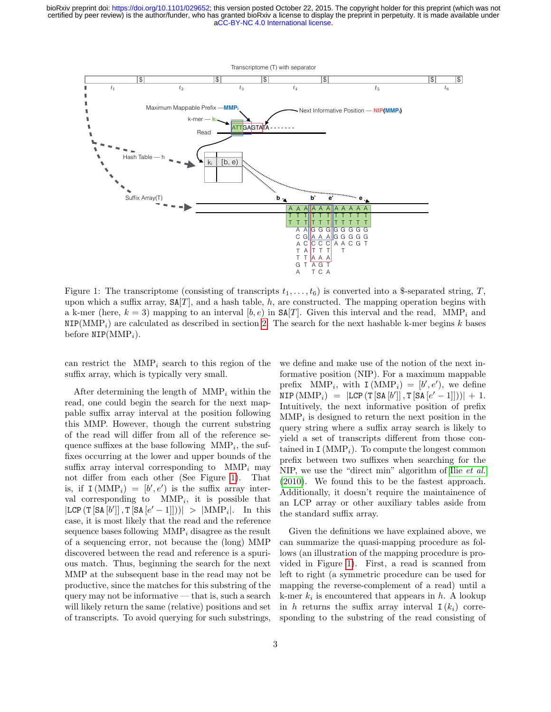

Figure 1: The transcriptome (consisting of transcripts  $t_1, \ldots, t_6$ ) is converted into a \$-separated string, T, upon which a suffix array,  $SA[T]$ , and a hash table, h, are constructed. The mapping operation begins with a k-mer (here,  $k = 3$ ) mapping to an interval [b, e) in SA[T]. Given this interval and the read, MMP<sub>i</sub> and  $NIP(MMP<sub>i</sub>)$  are calculated as described in section [2.](#page-1-0) The search for the next hashable k-mer begins k bases before  $NIP(MMP_i)$ .

can restrict the  $\text{MMP}_i$  search to this region of the suffix array, which is typically very small.

After determining the length of  $MMP_i$  within the read, one could begin the search for the next mappable suffix array interval at the position following this MMP. However, though the current substring of the read will differ from all of the reference sequence suffixes at the base following  $\text{MMP}_i$ , the suffixes occurring at the lower and upper bounds of the suffix array interval corresponding to  $MMP_i$  may not differ from each other (See Figure [1\)](#page-2-0). That is, if  $I(MMP_i) = [b', e')$  is the suffix array interval corresponding to  $MMP_i$ , it is possible that  $|LCP(T[SA [b']], T[SA [e'-1]]))| > |MMP_i|$ . In this case, it is most likely that the read and the reference sequence bases following  $\text{MMP}_i$  disagree as the result of a sequencing error, not because the (long) MMP discovered between the read and reference is a spurious match. Thus, beginning the search for the next MMP at the subsequent base in the read may not be productive, since the matches for this substring of the query may not be informative — that is, such a search will likely return the same (relative) positions and set of transcripts. To avoid querying for such substrings, <span id="page-2-0"></span>we define and make use of the notion of the next informative position (NIP). For a maximum mappable prefix MMP<sub>i</sub>, with  $I(MMP_i) = [b', e')$ , we define  $\text{NIP}(\text{MMP}_i) = |\text{LCP}(\text{T}[\text{SA}[b']] , \text{T}[\text{SA}[e'-1]]))| + 1.$ Intuitively, the next informative position of prefix  $\text{MMP}_i$  is designed to return the next position in the query string where a suffix array search is likely to yield a set of transcripts different from those contained in  $I(MMP<sub>i</sub>)$ . To compute the longest common prefix between two suffixes when searching for the NIP, we use the "direct min" algorithm of Ilie [et al.](#page-9-7) [\(2010\)](#page-9-7). We found this to be the fastest approach. Additionally, it doesn't require the maintainence of an LCP array or other auxiliary tables aside from the standard suffix array.

Given the definitions we have explained above, we can summarize the quasi-mapping procedure as follows (an illustration of the mapping procedure is provided in Figure [1\)](#page-2-0). First, a read is scanned from left to right (a symmetric procedure can be used for mapping the reverse-complement of a read) until a k-mer  $k_i$  is encountered that appears in  $h$ . A lookup in h returns the suffix array interval  $I(k_i)$  corresponding to the substring of the read consisting of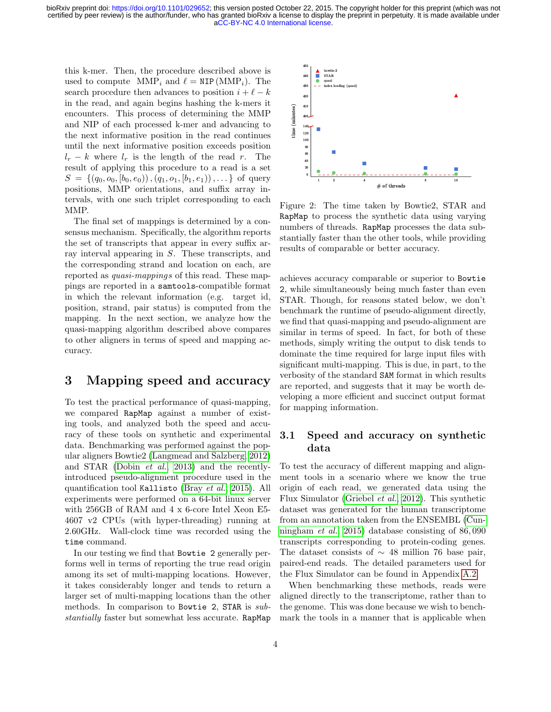this k-mer. Then, the procedure described above is used to compute  $\text{MMP}_i$  and  $\ell = \text{NIP}(\text{MMP}_i)$ . The search procedure then advances to position  $i + \ell - k$ in the read, and again begins hashing the k-mers it encounters. This process of determining the MMP and NIP of each processed k-mer and advancing to the next informative position in the read continues until the next informative position exceeds position  $l_r - k$  where  $l_r$  is the length of the read r. The result of applying this procedure to a read is a set  $S = \{(q_0, o_0, [b_0, e_0)), (q_1, o_1, [b_1, e_1)), \dots\}$  of query positions, MMP orientations, and suffix array intervals, with one such triplet corresponding to each MMP.

The final set of mappings is determined by a consensus mechanism. Specifically, the algorithm reports the set of transcripts that appear in every suffix array interval appearing in S. These transcripts, and the corresponding strand and location on each, are reported as quasi-mappings of this read. These mappings are reported in a samtools-compatible format in which the relevant information (e.g. target id, position, strand, pair status) is computed from the mapping. In the next section, we analyze how the quasi-mapping algorithm described above compares to other aligners in terms of speed and mapping accuracy.

### <span id="page-3-1"></span>3 Mapping speed and accuracy

To test the practical performance of quasi-mapping, we compared RapMap against a number of existing tools, and analyzed both the speed and accuracy of these tools on synthetic and experimental data. Benchmarking was performed against the popular aligners Bowtie2 [\(Langmead and Salzberg, 2012\)](#page-9-1) and STAR [\(Dobin](#page-9-3) et al., [2013\)](#page-9-3) and the recentlyintroduced pseudo-alignment procedure used in the quantification tool Kallisto [\(Bray](#page-9-8) et al., [2015\)](#page-9-8). All experiments were performed on a 64-bit linux server with 256GB of RAM and 4 x 6-core Intel Xeon E5- 4607 v2 CPUs (with hyper-threading) running at 2.60GHz. Wall-clock time was recorded using the time command.

In our testing we find that Bowtie 2 generally performs well in terms of reporting the true read origin among its set of multi-mapping locations. However, it takes considerably longer and tends to return a larger set of multi-mapping locations than the other methods. In comparison to Bowtie 2, STAR is substantially faster but somewhat less accurate. RapMap



<span id="page-3-0"></span>Figure 2: The time taken by Bowtie2, STAR and RapMap to process the synthetic data using varying numbers of threads. RapMap processes the data substantially faster than the other tools, while providing results of comparable or better accuracy.

achieves accuracy comparable or superior to Bowtie 2, while simultaneously being much faster than even STAR. Though, for reasons stated below, we don't benchmark the runtime of pseudo-alignment directly, we find that quasi-mapping and pseudo-alignment are similar in terms of speed. In fact, for both of these methods, simply writing the output to disk tends to dominate the time required for large input files with significant multi-mapping. This is due, in part, to the verbosity of the standard SAM format in which results are reported, and suggests that it may be worth developing a more efficient and succinct output format for mapping information.

### 3.1 Speed and accuracy on synthetic data

To test the accuracy of different mapping and alignment tools in a scenario where we know the true origin of each read, we generated data using the Flux Simulator [\(Griebel](#page-9-9) et al., [2012\)](#page-9-9). This synthetic dataset was generated for the human transcriptome from an annotation taken from the ENSEMBL [\(Cun](#page-9-10)[ningham](#page-9-10) et al., [2015\)](#page-9-10) database consisting of 86, 090 transcripts corresponding to protein-coding genes. The dataset consists of  $\sim$  48 million 76 base pair, paired-end reads. The detailed parameters used for the Flux Simulator can be found in Appendix [A.2.](#page-11-0)

When benchmarking these methods, reads were aligned directly to the transcriptome, rather than to the genome. This was done because we wish to benchmark the tools in a manner that is applicable when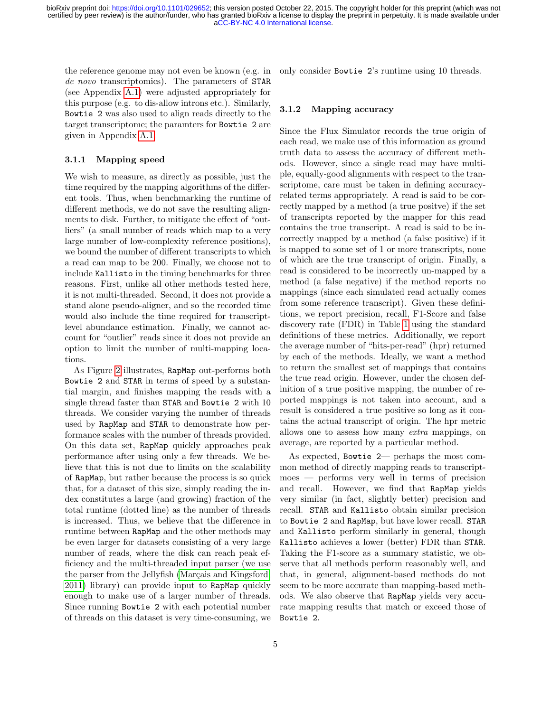the reference genome may not even be known (e.g. in de novo transcriptomics). The parameters of STAR (see Appendix [A.1\)](#page-11-1) were adjusted appropriately for this purpose (e.g. to dis-allow introns etc.). Similarly, Bowtie 2 was also used to align reads directly to the target transcriptome; the paramters for Bowtie 2 are given in Appendix [A.1.](#page-11-1)

#### 3.1.1 Mapping speed

We wish to measure, as directly as possible, just the time required by the mapping algorithms of the different tools. Thus, when benchmarking the runtime of different methods, we do not save the resulting alignments to disk. Further, to mitigate the effect of "outliers" (a small number of reads which map to a very large number of low-complexity reference positions), we bound the number of different transcripts to which a read can map to be 200. Finally, we choose not to include Kallisto in the timing benchmarks for three reasons. First, unlike all other methods tested here, it is not multi-threaded. Second, it does not provide a stand alone pseudo-aligner, and so the recorded time would also include the time required for transcriptlevel abundance estimation. Finally, we cannot account for "outlier" reads since it does not provide an option to limit the number of multi-mapping locations.

As Figure [2](#page-3-0) illustrates, RapMap out-performs both Bowtie 2 and STAR in terms of speed by a substantial margin, and finishes mapping the reads with a single thread faster than STAR and Bowtie 2 with 10 threads. We consider varying the number of threads used by RapMap and STAR to demonstrate how performance scales with the number of threads provided. On this data set, RapMap quickly approaches peak performance after using only a few threads. We believe that this is not due to limits on the scalability of RapMap, but rather because the process is so quick that, for a dataset of this size, simply reading the index constitutes a large (and growing) fraction of the total runtime (dotted line) as the number of threads is increased. Thus, we believe that the difference in runtime between RapMap and the other methods may be even larger for datasets consisting of a very large number of reads, where the disk can reach peak efficiency and the multi-threaded input parser (we use the parser from the Jellyfish (Marçais and Kingsford, [2011\)](#page-10-7) library) can provide input to RapMap quickly enough to make use of a larger number of threads. Since running Bowtie 2 with each potential number of threads on this dataset is very time-consuming, we only consider Bowtie 2's runtime using 10 threads.

#### 3.1.2 Mapping accuracy

Since the Flux Simulator records the true origin of each read, we make use of this information as ground truth data to assess the accuracy of different methods. However, since a single read may have multiple, equally-good alignments with respect to the transcriptome, care must be taken in defining accuracyrelated terms appropriately. A read is said to be correctly mapped by a method (a true positve) if the set of transcripts reported by the mapper for this read contains the true transcript. A read is said to be incorrectly mapped by a method (a false positive) if it is mapped to some set of 1 or more transcripts, none of which are the true transcript of origin. Finally, a read is considered to be incorrectly un-mapped by a method (a false negative) if the method reports no mappings (since each simulated read actually comes from some reference transcript). Given these definitions, we report precision, recall, F1-Score and false discovery rate (FDR) in Table [1](#page-5-0) using the standard definitions of these metrics. Additionally, we report the average number of "hits-per-read" (hpr) returned by each of the methods. Ideally, we want a method to return the smallest set of mappings that contains the true read origin. However, under the chosen definition of a true positive mapping, the number of reported mappings is not taken into account, and a result is considered a true positive so long as it contains the actual transcript of origin. The hpr metric allows one to assess how many extra mappings, on average, are reported by a particular method.

As expected, Bowtie 2— perhaps the most common method of directly mapping reads to transcriptmoes — performs very well in terms of precision and recall. However, we find that RapMap yields very similar (in fact, slightly better) precision and recall. STAR and Kallisto obtain similar precision to Bowtie 2 and RapMap, but have lower recall. STAR and Kallisto perform similarly in general, though Kallisto achieves a lower (better) FDR than STAR. Taking the F1-score as a summary statistic, we observe that all methods perform reasonably well, and that, in general, alignment-based methods do not seem to be more accurate than mapping-based methods. We also observe that RapMap yields very accurate mapping results that match or exceed those of Bowtie 2.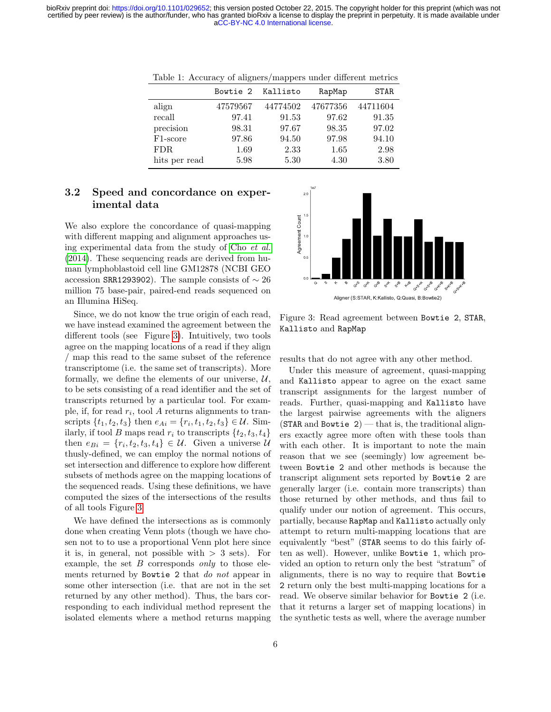<span id="page-5-0"></span>[aCC-BY-NC 4.0 International license.](http://creativecommons.org/licenses/by-nc/4.0/) certified by peer review) is the author/funder, who has granted bioRxiv a license to display the preprint in perpetuity. It is made available under bioRxiv preprint doi: [https://doi.org/10.1101/029652;](https://doi.org/10.1101/029652) this version posted October 22, 2015. The copyright holder for this preprint (which was not

|                       | Bowtie 2 | Kallisto | RapMap   | <b>STAR</b> |
|-----------------------|----------|----------|----------|-------------|
| align                 | 47579567 | 44774502 | 47677356 | 44711604    |
| recall                | 97.41    | 91.53    | 97.62    | 91.35       |
| precision             | 98.31    | 97.67    | 98.35    | 97.02       |
| F <sub>1</sub> -score | 97.86    | 94.50    | 97.98    | 94.10       |
| FDR.                  | 1.69     | 2.33     | 1.65     | 2.98        |
| hits per read         | 5.98     | 5.30     | 4.30     | 3.80        |

Table 1: Accuracy of aligners/mappers under different metrics

### 3.2 Speed and concordance on experimental data

We also explore the concordance of quasi-mapping with different mapping and alignment approaches using experimental data from the study of Cho [et al.](#page-9-11) [\(2014\)](#page-9-11). These sequencing reads are derived from human lymphoblastoid cell line GM12878 (NCBI GEO accession SRR1293902). The sample consists of  $\sim 26$ million 75 base-pair, paired-end reads sequenced on an Illumina HiSeq.

Since, we do not know the true origin of each read, we have instead examined the agreement between the different tools (see Figure [3\)](#page-5-1). Intuitively, two tools agree on the mapping locations of a read if they align / map this read to the same subset of the reference transcriptome (i.e. the same set of transcripts). More formally, we define the elements of our universe,  $\mathcal{U}$ , to be sets consisting of a read identifier and the set of transcripts returned by a particular tool. For example, if, for read  $r_i$ , tool A returns alignments to transcripts  $\{t_1, t_2, t_3\}$  then  $e_{Ai} = \{r_i, t_1, t_2, t_3\} \in \mathcal{U}$ . Similarly, if tool B maps read  $r_i$  to transcripts  $\{t_2, t_3, t_4\}$ then  $e_{Bi} = \{r_i, t_2, t_3, t_4\} \in \mathcal{U}$ . Given a universe  $\mathcal{U}$ thusly-defined, we can employ the normal notions of set intersection and difference to explore how different subsets of methods agree on the mapping locations of the sequenced reads. Using these definitions, we have computed the sizes of the intersections of the results of all tools Figure [3.](#page-5-1)

We have defined the intersections as is commonly done when creating Venn plots (though we have chosen not to to use a proportional Venn plot here since it is, in general, not possible with  $> 3$  sets). For example, the set  $B$  corresponds only to those elements returned by Bowtie 2 that do not appear in some other intersection (i.e. that are not in the set returned by any other method). Thus, the bars corresponding to each individual method represent the isolated elements where a method returns mapping



<span id="page-5-1"></span>Figure 3: Read agreement between Bowtie 2, STAR, Kallisto and RapMap

results that do not agree with any other method.

Under this measure of agreement, quasi-mapping and Kallisto appear to agree on the exact same transcript assignments for the largest number of reads. Further, quasi-mapping and Kallisto have the largest pairwise agreements with the aligners  $(STAR and Bowtie 2)$  — that is, the traditional aligners exactly agree more often with these tools than with each other. It is important to note the main reason that we see (seemingly) low agreement between Bowtie 2 and other methods is because the transcript alignment sets reported by Bowtie 2 are generally larger (i.e. contain more transcripts) than those returned by other methods, and thus fail to qualify under our notion of agreement. This occurs, partially, because RapMap and Kallisto actually only attempt to return multi-mapping locations that are equivalently "best" (STAR seems to do this fairly often as well). However, unlike Bowtie 1, which provided an option to return only the best "stratum" of alignments, there is no way to require that Bowtie 2 return only the best multi-mapping locations for a read. We observe similar behavior for Bowtie 2 (i.e. that it returns a larger set of mapping locations) in the synthetic tests as well, where the average number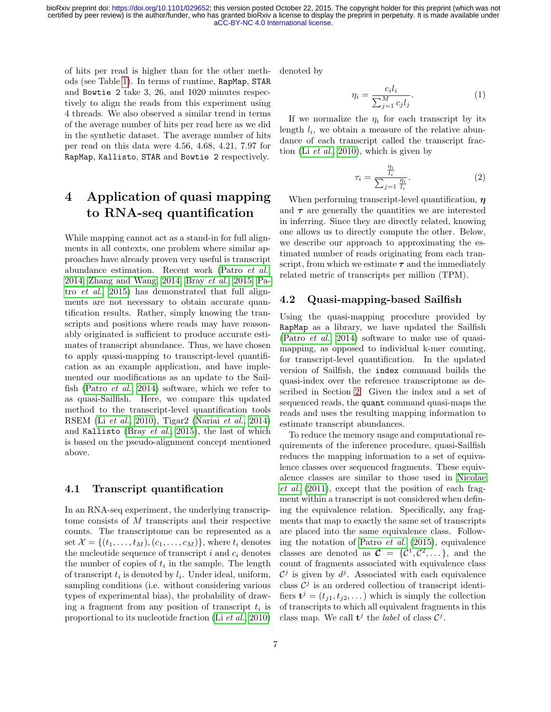of hits per read is higher than for the other methods (see Table [1\)](#page-5-0). In terms of runtime, RapMap, STAR and Bowtie 2 take 3, 26, and 1020 minutes respectively to align the reads from this experiment using 4 threads. We also observed a similar trend in terms of the average number of hits per read here as we did in the synthetic dataset. The average number of hits per read on this data were 4.56, 4.68, 4.21, 7.97 for RapMap, Kallisto, STAR and Bowtie 2 respectively.

# 4 Application of quasi mapping to RNA-seq quantification

While mapping cannot act as a stand-in for full alignments in all contexts, one problem where similar approaches have already proven very useful is transcript abundance estimation. Recent work [\(Patro](#page-10-4) et al., [2014;](#page-10-4) [Zhang and Wang, 2014;](#page-10-8) Bray [et al.](#page-9-8), [2015;](#page-9-8) [Pa](#page-10-9)tro [et al.](#page-10-9), [2015\)](#page-10-9) has demonstrated that full alignments are not necessary to obtain accurate quantification results. Rather, simply knowing the transcripts and positions where reads may have reasonably originated is sufficient to produce accurate estimates of transcript abundance. Thus, we have chosen to apply quasi-mapping to transcript-level quantification as an example application, and have implemented our modifications as an update to the Sailfish [\(Patro](#page-10-4) et al., [2014\)](#page-10-4) software, which we refer to as quasi-Sailfish. Here, we compare this updated method to the transcript-level quantification tools RSEM (Li [et al.](#page-10-10), [2010\)](#page-10-10), Tigar2 [\(Nariai](#page-10-11) et al., [2014\)](#page-10-11) and Kallisto (Bray [et al.](#page-9-8), [2015\)](#page-9-8), the last of which is based on the pseudo-alignment concept mentioned above.

#### 4.1 Transcript quantification

In an RNA-seq experiment, the underlying transcriptome consists of M transcripts and their respective counts. The transcriptome can be represented as a set  $\mathcal{X} = \{(t_1, \ldots, t_M), (c_1, \ldots, c_M)\}\$ , where  $t_i$  denotes the nucleotide sequence of transcript  $i$  and  $c_i$  denotes the number of copies of  $t_i$  in the sample. The length of transcript  $t_i$  is denoted by  $l_i$ . Under ideal, uniform, sampling conditions (i.e. without considering various types of experimental bias), the probability of drawing a fragment from any position of transcript  $t_i$  is proportional to its nucleotide fraction (Li [et al.](#page-10-10), [2010\)](#page-10-10)

denoted by

$$
\eta_i = \frac{c_i l_i}{\sum_{j=1}^M c_j l_j}.\tag{1}
$$

If we normalize the  $\eta_i$  for each transcript by its length  $l_i$ , we obtain a measure of the relative abundance of each transcript called the transcript fraction (Li [et al.](#page-10-10), [2010\)](#page-10-10), which is given by

$$
\tau_i = \frac{\frac{\eta_i}{l_i}}{\sum_{j=1} \frac{\eta_i}{l_i}}.\tag{2}
$$

When performing transcript-level quantification,  $\eta$ and  $\tau$  are generally the quantities we are interested in inferring. Since they are directly related, knowing one allows us to directly compute the other. Below, we describe our approach to approximating the estimated number of reads originating from each transcript, from which we estimate  $\tau$  and the immediately related metric of transcripts per million (TPM).

#### 4.2 Quasi-mapping-based Sailfish

Using the quasi-mapping procedure provided by RapMap as a library, we have updated the Sailfish [\(Patro](#page-10-4) et al., [2014\)](#page-10-4) software to make use of quasimapping, as opposed to individual k-mer counting, for transcript-level quantification. In the updated version of Sailfish, the index command builds the quasi-index over the reference transcriptome as described in Section [2.](#page-1-0) Given the index and a set of sequenced reads, the quant command quasi-maps the reads and uses the resulting mapping information to estimate transcript abundances.

To reduce the memory usage and computational requirements of the inference procedure, quasi-Sailfish reduces the mapping information to a set of equivalence classes over sequenced fragments. These equivalence classes are similar to those used in [Nicolae](#page-10-12) [et al.](#page-10-12) [\(2011\)](#page-10-12), except that the position of each fragment within a transcript is not considered when defining the equivalence relation. Specifically, any fragments that map to exactly the same set of transcripts are placed into the same equivalence class. Following the notation of [Patro](#page-10-9) et al. [\(2015\)](#page-10-9), equivalence classes are denoted as  $\mathcal{C} = \{C^1, C^2, \dots\}$ , and the count of fragments associated with equivalence class  $\mathcal{C}^j$  is given by  $d^j$ . Associated with each equivalence class  $\mathcal{C}^j$  is an ordered collection of transcript identifiers  $\mathbf{t}^j = (t_{j1}, t_{j2}, \dots)$  which is simply the collection of transcripts to which all equivalent fragments in this class map. We call  $\mathbf{t}^j$  the *label* of class  $\mathcal{C}^j$ .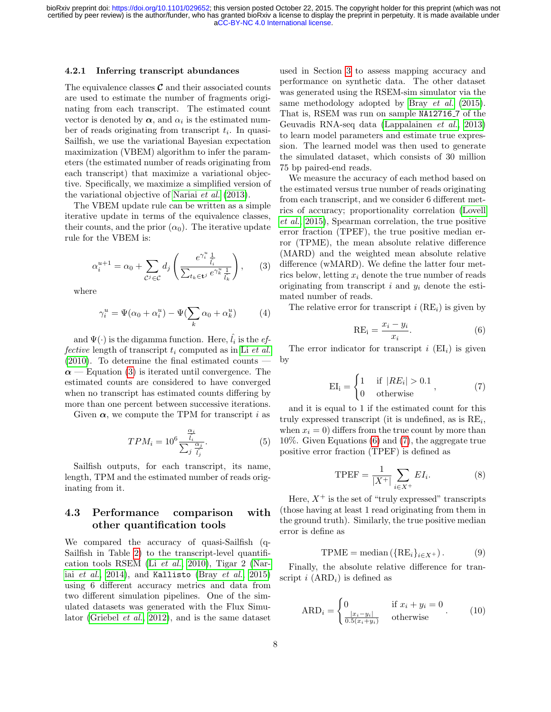#### 4.2.1 Inferring transcript abundances

The equivalence classes  $\mathcal C$  and their associated counts are used to estimate the number of fragments originating from each transcript. The estimated count vector is denoted by  $\alpha$ , and  $\alpha_i$  is the estimated number of reads originating from transcript  $t_i$ . In quasi-Sailfish, we use the variational Bayesian expectation maximization (VBEM) algorithm to infer the parameters (the estimated number of reads originating from each transcript) that maximize a variational objective. Specifically, we maximize a simplified version of the variational objective of [Nariai](#page-10-13) et al. [\(2013\)](#page-10-13).

The VBEM update rule can be written as a simple iterative update in terms of the equivalence classes, their counts, and the prior  $(\alpha_0)$ . The iterative update rule for the VBEM is:

<span id="page-7-0"></span>
$$
\alpha_i^{u+1} = \alpha_0 + \sum_{\mathcal{C}^j \in \mathcal{C}} d_j \left( \frac{e^{\gamma_i^u} \frac{1}{l_i}}{\sum_{t_k \in \mathbf{t}^j} e^{\gamma_k^u} \frac{1}{l_k}} \right), \qquad (3)
$$

where

$$
\gamma_i^u = \Psi(\alpha_0 + \alpha_i^u) - \Psi(\sum_k \alpha_0 + \alpha_k^u) \tag{4}
$$

and  $\Psi(\cdot)$  is the digamma function. Here,  $\hat{l}_i$  is the  $ef$ fective length of transcript  $t_i$  computed as in Li [et al.](#page-10-10)  $(2010)$ . To determine the final estimated counts  $\alpha$  — Equation [\(3\)](#page-7-0) is iterated until convergence. The estimated counts are considered to have converged when no transcript has estimated counts differing by more than one percent between successive iterations.

Given  $\alpha$ , we compute the TPM for transcript i as

$$
TPM_i = 10^6 \frac{\frac{\alpha_i}{\hat{l}_i}}{\sum_j \frac{\alpha_j}{\hat{l}_j}}.\tag{5}
$$

Sailfish outputs, for each transcript, its name, length, TPM and the estimated number of reads originating from it.

### 4.3 Performance comparison with other quantification tools

We compared the accuracy of quasi-Sailfish (q-Sailfish in Table [2\)](#page-8-0) to the transcript-level quantification tools RSEM (Li [et al.](#page-10-10), [2010\)](#page-10-10), Tigar 2 [\(Nar](#page-10-11)iai [et al.](#page-9-8), [2014\)](#page-10-11), and Kallisto (Bray et al., [2015\)](#page-9-8) using 6 different accuracy metrics and data from two different simulation pipelines. One of the simulated datasets was generated with the Flux Simulator [\(Griebel](#page-9-9) et al., [2012\)](#page-9-9), and is the same dataset

used in Section [3](#page-3-1) to assess mapping accuracy and performance on synthetic data. The other dataset was generated using the RSEM-sim simulator via the same methodology adopted by Bray [et al.](#page-9-8) [\(2015\)](#page-9-8). That is, RSEM was run on sample NA12716 7 of the Geuvadis RNA-seq data [\(Lappalainen](#page-10-14) et al., [2013\)](#page-10-14) to learn model parameters and estimate true expression. The learned model was then used to generate the simulated dataset, which consists of 30 million 75 bp paired-end reads.

We measure the accuracy of each method based on the estimated versus true number of reads originating from each transcript, and we consider 6 different metrics of accuracy; proportionality correlation [\(Lovell](#page-10-15) [et al.](#page-10-15), [2015\)](#page-10-15), Spearman correlation, the true positive error fraction (TPEF), the true positive median error (TPME), the mean absolute relative difference (MARD) and the weighted mean absolute relative difference (wMARD). We define the latter four metrics below, letting  $x_i$  denote the true number of reads originating from transcript  $i$  and  $y_i$  denote the estimated number of reads.

<span id="page-7-1"></span>The relative error for transcript i  $(RE_i)$  is given by

$$
RE_i = \frac{x_i - y_i}{x_i}.
$$
\n(6)

<span id="page-7-2"></span>The error indicator for transcript  $i$  (EI<sub>i</sub>) is given by

$$
EI_i = \begin{cases} 1 & \text{if } |RE_i| > 0.1 \\ 0 & \text{otherwise} \end{cases}, \tag{7}
$$

and it is equal to 1 if the estimated count for this truly expressed transcript (it is undefined, as is  $RE_i$ , when  $x_i = 0$ ) differs from the true count by more than 10%. Given Equations [\(6\)](#page-7-1) and [\(7\)](#page-7-2), the aggregate true positive error fraction (TPEF) is defined as

$$
\text{TPEF} = \frac{1}{|X^+|} \sum_{i \in X^+} EI_i. \tag{8}
$$

Here,  $X^+$  is the set of "truly expressed" transcripts (those having at least 1 read originating from them in the ground truth). Similarly, the true positive median error is define as

$$
TPME = \text{median}(\{RE_i\}_{i \in X^+})\,. \tag{9}
$$

Finally, the absolute relative difference for transcript i  $(ARD<sub>i</sub>)$  is defined as

$$
ARD_i = \begin{cases} 0 & \text{if } x_i + y_i = 0\\ \frac{|x_i - y_i|}{0.5(x_i + y_i)} & \text{otherwise} \end{cases}
$$
 (10)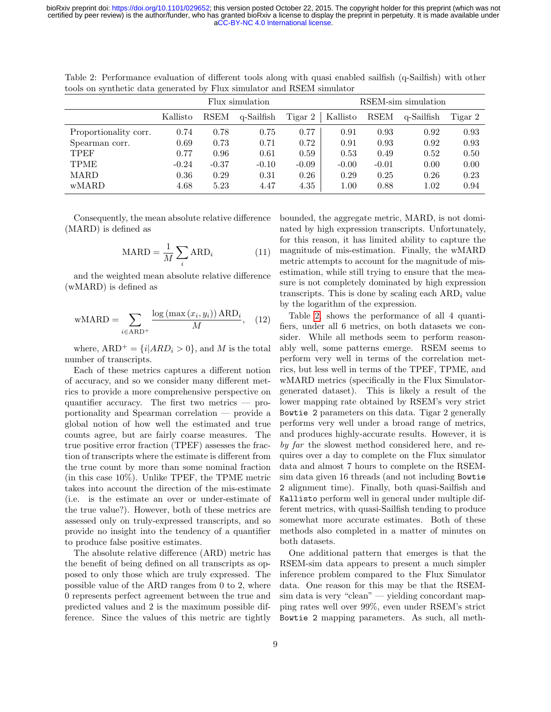[aCC-BY-NC 4.0 International license.](http://creativecommons.org/licenses/by-nc/4.0/) certified by peer review) is the author/funder, who has granted bioRxiv a license to display the preprint in perpetuity. It is made available under bioRxiv preprint doi: [https://doi.org/10.1101/029652;](https://doi.org/10.1101/029652) this version posted October 22, 2015. The copyright holder for this preprint (which was not

|                       | Flux simulation |             |            | RSEM-sim simulation |          |             |            |         |
|-----------------------|-----------------|-------------|------------|---------------------|----------|-------------|------------|---------|
|                       | Kallisto        | <b>RSEM</b> | q-Sailfish | Tigar 2             | Kallisto | <b>RSEM</b> | q-Sailfish | Tigar 2 |
| Proportionality corr. | 0.74            | 0.78        | 0.75       | 0.77                | 0.91     | 0.93        | 0.92       | 0.93    |
| Spearman corr.        | 0.69            | 0.73        | 0.71       | 0.72                | 0.91     | 0.93        | 0.92       | 0.93    |
| <b>TPEF</b>           | 0.77            | 0.96        | 0.61       | 0.59                | 0.53     | 0.49        | 0.52       | 0.50    |
| <b>TPME</b>           | $-0.24$         | $-0.37$     | $-0.10$    | $-0.09$             | $-0.00$  | $-0.01$     | 0.00       | 0.00    |
| MARD                  | 0.36            | 0.29        | 0.31       | 0.26                | 0.29     | 0.25        | 0.26       | 0.23    |
| wMARD                 | 4.68            | 5.23        | 4.47       | 4.35                | 1.00     | 0.88        | 1.02       | 0.94    |

<span id="page-8-0"></span>Table 2: Performance evaluation of different tools along with quasi enabled sailfish (q-Sailfish) with other tools on synthetic data generated by Flux simulator and RSEM simulator

Consequently, the mean absolute relative difference (MARD) is defined as

$$
MARD = \frac{1}{M} \sum_{i} ARD_{i}
$$
 (11)

and the weighted mean absolute relative difference (wMARD) is defined as

$$
\text{wMARD} = \sum_{i \in \text{ARD}^+} \frac{\log\left(\max\left(x_i, y_i\right)\right) \text{ARD}_i}{M}, \quad (12)
$$

where,  $ARD^+ = \{i|ARD_i > 0\}$ , and M is the total number of transcripts.

Each of these metrics captures a different notion of accuracy, and so we consider many different metrics to provide a more comprehensive perspective on quantifier accuracy. The first two metrics — proportionality and Spearman correlation — provide a global notion of how well the estimated and true counts agree, but are fairly coarse measures. The true positive error fraction (TPEF) assesses the fraction of transcripts where the estimate is different from the true count by more than some nominal fraction (in this case 10%). Unlike TPEF, the TPME metric takes into account the direction of the mis-estimate (i.e. is the estimate an over or under-estimate of the true value?). However, both of these metrics are assessed only on truly-expressed transcripts, and so provide no insight into the tendency of a quantifier to produce false positive estimates.

The absolute relative difference (ARD) metric has the benefit of being defined on all transcripts as opposed to only those which are truly expressed. The possible value of the ARD ranges from 0 to 2, where 0 represents perfect agreement between the true and predicted values and 2 is the maximum possible difference. Since the values of this metric are tightly bounded, the aggregate metric, MARD, is not dominated by high expression transcripts. Unfortunately, for this reason, it has limited ability to capture the magnitude of mis-estimation. Finally, the wMARD metric attempts to account for the magnitude of misestimation, while still trying to ensure that the measure is not completely dominated by high expression transcripts. This is done by scaling each  $ARD_i$  value by the logarithm of the expression.

Table [2,](#page-8-0) shows the performance of all 4 quantifiers, under all 6 metrics, on both datasets we consider. While all methods seem to perform reasonably well, some patterns emerge. RSEM seems to perform very well in terms of the correlation metrics, but less well in terms of the TPEF, TPME, and wMARD metrics (specifically in the Flux Simulatorgenerated dataset). This is likely a result of the lower mapping rate obtained by RSEM's very strict Bowtie 2 parameters on this data. Tigar 2 generally performs very well under a broad range of metrics, and produces highly-accurate results. However, it is by far the slowest method considered here, and requires over a day to complete on the Flux simulator data and almost 7 hours to complete on the RSEMsim data given 16 threads (and not including Bowtie 2 alignment time). Finally, both quasi-Sailfish and Kallisto perform well in general under multiple different metrics, with quasi-Sailfish tending to produce somewhat more accurate estimates. Both of these methods also completed in a matter of minutes on both datasets.

One additional pattern that emerges is that the RSEM-sim data appears to present a much simpler inference problem compared to the Flux Simulator data. One reason for this may be that the RSEMsim data is very "clean" — yielding concordant mapping rates well over 99%, even under RSEM's strict Bowtie 2 mapping parameters. As such, all meth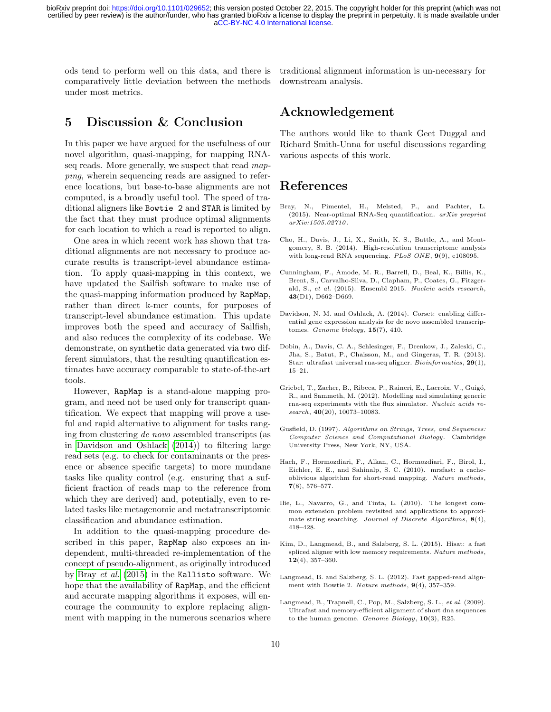ods tend to perform well on this data, and there is comparatively little deviation between the methods under most metrics.

traditional alignment information is un-necessary for downstream analysis.

### 5 Discussion & Conclusion

In this paper we have argued for the usefulness of our novel algorithm, quasi-mapping, for mapping RNAseq reads. More generally, we suspect that read mapping, wherein sequencing reads are assigned to reference locations, but base-to-base alignments are not computed, is a broadly useful tool. The speed of traditional aligners like Bowtie 2 and STAR is limited by the fact that they must produce optimal alignments for each location to which a read is reported to align.

One area in which recent work has shown that traditional alignments are not necessary to produce accurate results is transcript-level abundance estimation. To apply quasi-mapping in this context, we have updated the Sailfish software to make use of the quasi-mapping information produced by RapMap, rather than direct k-mer counts, for purposes of transcript-level abundance estimation. This update improves both the speed and accuracy of Sailfish, and also reduces the complexity of its codebase. We demonstrate, on synthetic data generated via two different simulators, that the resulting quantification estimates have accuracy comparable to state-of-the-art tools.

However, RapMap is a stand-alone mapping program, and need not be used only for transcript quantification. We expect that mapping will prove a useful and rapid alternative to alignment for tasks ranging from clustering de novo assembled transcripts (as in [Davidson and Oshlack](#page-9-5) [\(2014\)](#page-9-5)) to filtering large read sets (e.g. to check for contaminants or the presence or absence specific targets) to more mundane tasks like quality control (e.g. ensuring that a sufficient fraction of reads map to the reference from which they are derived) and, potentially, even to related tasks like metagenomic and metatranscriptomic classification and abundance estimation.

In addition to the quasi-mapping procedure described in this paper, RapMap also exposes an independent, multi-threaded re-implementation of the concept of pseudo-alignment, as originally introduced by Bray [et al.](#page-9-8) [\(2015\)](#page-9-8) in the Kallisto software. We hope that the availability of RapMap, and the efficient and accurate mapping algorithms it exposes, will encourage the community to explore replacing alignment with mapping in the numerous scenarios where

### Acknowledgement

The authors would like to thank Geet Duggal and Richard Smith-Unna for useful discussions regarding various aspects of this work.

### References

- <span id="page-9-8"></span>Bray, N., Pimentel, H., Melsted, P., and Pachter, L. (2015). Near-optimal RNA-Seq quantification.  $arXiv$  preprint arXiv:1505.02710.
- <span id="page-9-11"></span>Cho, H., Davis, J., Li, X., Smith, K. S., Battle, A., and Montgomery, S. B. (2014). High-resolution transcriptome analysis with long-read RNA sequencing. PLoS ONE, 9(9), e108095.
- <span id="page-9-10"></span>Cunningham, F., Amode, M. R., Barrell, D., Beal, K., Billis, K., Brent, S., Carvalho-Silva, D., Clapham, P., Coates, G., Fitzgerald, S., et al. (2015). Ensembl 2015. Nucleic acids research, 43(D1), D662–D669.
- <span id="page-9-5"></span>Davidson, N. M. and Oshlack, A. (2014). Corset: enabling differential gene expression analysis for de novo assembled transcriptomes. Genome biology,  $15(7)$ ,  $410$ .
- <span id="page-9-3"></span>Dobin, A., Davis, C. A., Schlesinger, F., Drenkow, J., Zaleski, C., Jha, S., Batut, P., Chaisson, M., and Gingeras, T. R. (2013). Star: ultrafast universal rna-seq aligner. Bioinformatics, 29(1), 15–21.
- <span id="page-9-9"></span>Griebel, T., Zacher, B., Ribeca, P., Raineri, E., Lacroix, V., Guigó, R., and Sammeth, M. (2012). Modelling and simulating generic rna-seq experiments with the flux simulator. Nucleic acids re $search, 40(20), 10073-10083.$
- <span id="page-9-6"></span>Gusfield, D. (1997). Algorithms on Strings, Trees, and Sequences: Computer Science and Computational Biology. Cambridge University Press, New York, NY, USA.
- <span id="page-9-2"></span>Hach, F., Hormozdiari, F., Alkan, C., Hormozdiari, F., Birol, I., Eichler, E. E., and Sahinalp, S. C. (2010). mrsfast: a cacheoblivious algorithm for short-read mapping. Nature methods, 7(8), 576–577.
- <span id="page-9-7"></span>Ilie, L., Navarro, G., and Tinta, L. (2010). The longest common extension problem revisited and applications to approximate string searching. Journal of Discrete Algorithms, 8(4), 418–428.
- <span id="page-9-4"></span>Kim, D., Langmead, B., and Salzberg, S. L. (2015). Hisat: a fast spliced aligner with low memory requirements. Nature methods, 12(4), 357–360.
- <span id="page-9-1"></span>Langmead, B. and Salzberg, S. L. (2012). Fast gapped-read alignment with Bowtie 2. Nature methods,  $9(4)$ , 357-359.
- <span id="page-9-0"></span>Langmead, B., Trapnell, C., Pop, M., Salzberg, S. L., et al. (2009). Ultrafast and memory-efficient alignment of short dna sequences to the human genome. Genome Biology, 10(3), R25.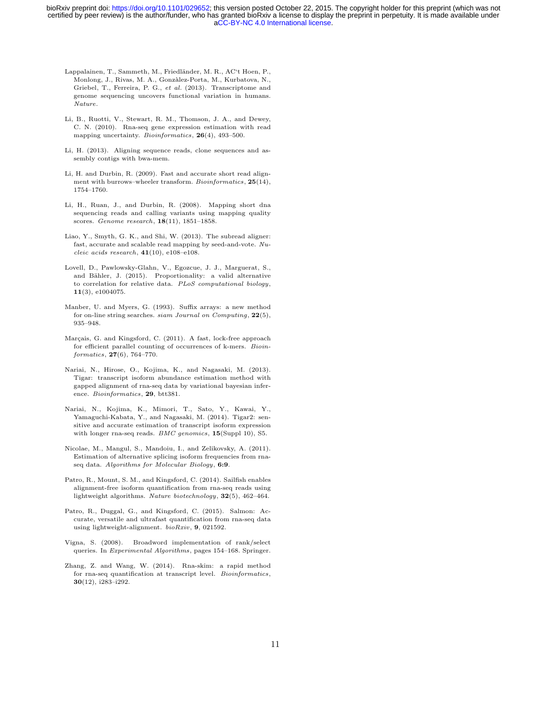- <span id="page-10-14"></span>Lappalainen, T., Sammeth, M., Friedländer, M. R., AC't Hoen, P., Monlong, J., Rivas, M. A., Gonzàlez-Porta, M., Kurbatova, N. Griebel, T., Ferreira, P. G., et al. (2013). Transcriptome and genome sequencing uncovers functional variation in humans. Nature.
- <span id="page-10-10"></span>Li, B., Ruotti, V., Stewart, R. M., Thomson, J. A., and Dewey, C. N. (2010). Rna-seq gene expression estimation with read mapping uncertainty. *Bioinformatics*, **26**(4), 493-500.
- <span id="page-10-1"></span>Li, H. (2013). Aligning sequence reads, clone sequences and assembly contigs with bwa-mem.
- <span id="page-10-0"></span>Li, H. and Durbin, R. (2009). Fast and accurate short read alignment with burrows–wheeler transform. Bioinformatics,  $25(14)$ , 1754–1760.
- <span id="page-10-3"></span>Li, H., Ruan, J., and Durbin, R. (2008). Mapping short dna sequencing reads and calling variants using mapping quality scores. Genome research,  $18(11)$ ,  $1851-1858$ .
- <span id="page-10-2"></span>Liao, Y., Smyth, G. K., and Shi, W. (2013). The subread aligner: fast, accurate and scalable read mapping by seed-and-vote. Nucleic acids research,  $41(10)$ , e108-e108.
- <span id="page-10-15"></span>Lovell, D., Pawlowsky-Glahn, V., Egozcue, J. J., Marguerat, S., and Bähler, J. (2015). Proportionality: a valid alternative to correlation for relative data. PLoS computational biology, 11(3), e1004075.
- <span id="page-10-5"></span>Manber, U. and Myers, G. (1993). Suffix arrays: a new method for on-line string searches. siam Journal on Computing, 22(5), 935–948.
- <span id="page-10-7"></span>Marçais, G. and Kingsford, C. (2011). A fast, lock-free approach for efficient parallel counting of occurrences of k-mers. Bioin $formatics, 27(6), 764-770.$
- <span id="page-10-13"></span>Nariai, N., Hirose, O., Kojima, K., and Nagasaki, M. (2013). Tigar: transcript isoform abundance estimation method with gapped alignment of rna-seq data by variational bayesian inference. Bioinformatics, 29, btt381.
- <span id="page-10-11"></span>Nariai, N., Kojima, K., Mimori, T., Sato, Y., Kawai, Y., Yamaguchi-Kabata, Y., and Nagasaki, M. (2014). Tigar2: sensitive and accurate estimation of transcript isoform expression with longer rna-seq reads. BMC genomics,  $15(Suppl 10)$ , S5.
- <span id="page-10-12"></span>Nicolae, M., Mangul, S., Mandoiu, I., and Zelikovsky, A. (2011). Estimation of alternative splicing isoform frequencies from rnaseq data. Algorithms for Molecular Biology, 6:9.
- <span id="page-10-4"></span>Patro, R., Mount, S. M., and Kingsford, C. (2014). Sailfish enables alignment-free isoform quantification from rna-seq reads using lightweight algorithms. Nature biotechnology, 32(5), 462–464.
- <span id="page-10-9"></span>Patro, R., Duggal, G., and Kingsford, C. (2015). Salmon: Accurate, versatile and ultrafast quantification from rna-seq data using lightweight-alignment.  $bioRxiv$ , 9, 021592.
- <span id="page-10-6"></span>Vigna, S. (2008). Broadword implementation of rank/select queries. In Experimental Algorithms, pages 154–168. Springer.
- <span id="page-10-8"></span>Zhang, Z. and Wang, W. (2014). Rna-skim: a rapid method for rna-seq quantification at transcript level. Bioinformatics, 30(12), i283–i292.